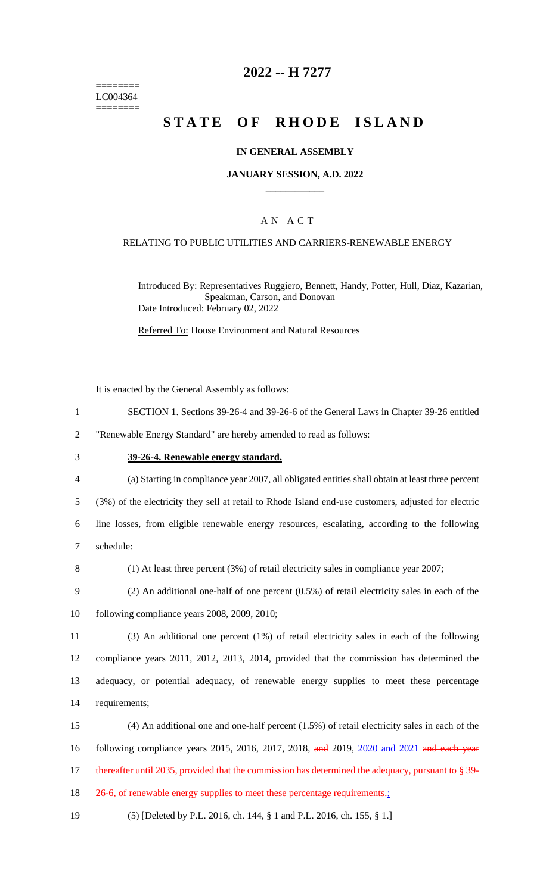======== LC004364 ========

### **2022 -- H 7277**

# **STATE OF RHODE ISLAND**

#### **IN GENERAL ASSEMBLY**

#### **JANUARY SESSION, A.D. 2022 \_\_\_\_\_\_\_\_\_\_\_\_**

### A N A C T

#### RELATING TO PUBLIC UTILITIES AND CARRIERS-RENEWABLE ENERGY

Introduced By: Representatives Ruggiero, Bennett, Handy, Potter, Hull, Diaz, Kazarian, Speakman, Carson, and Donovan Date Introduced: February 02, 2022

Referred To: House Environment and Natural Resources

It is enacted by the General Assembly as follows:

1 SECTION 1. Sections 39-26-4 and 39-26-6 of the General Laws in Chapter 39-26 entitled

2 "Renewable Energy Standard" are hereby amended to read as follows:

- 
- 3 **39-26-4. Renewable energy standard.**
- 4 (a) Starting in compliance year 2007, all obligated entities shall obtain at least three percent

5 (3%) of the electricity they sell at retail to Rhode Island end-use customers, adjusted for electric

6 line losses, from eligible renewable energy resources, escalating, according to the following 7 schedule:

8 (1) At least three percent (3%) of retail electricity sales in compliance year 2007;

9 (2) An additional one-half of one percent (0.5%) of retail electricity sales in each of the 10 following compliance years 2008, 2009, 2010;

 (3) An additional one percent (1%) of retail electricity sales in each of the following compliance years 2011, 2012, 2013, 2014, provided that the commission has determined the adequacy, or potential adequacy, of renewable energy supplies to meet these percentage requirements;

15 (4) An additional one and one-half percent (1.5%) of retail electricity sales in each of the 16 following compliance years 2015, 2016, 2017, 2018, and 2019, 2020 and 2021 and each year 17 thereafter until 2035, provided that the commission has determined the adequacy, pursuant to § 39-

18 26-6, of renewable energy supplies to meet these percentage requirements.;

19 (5) [Deleted by P.L. 2016, ch. 144, § 1 and P.L. 2016, ch. 155, § 1.]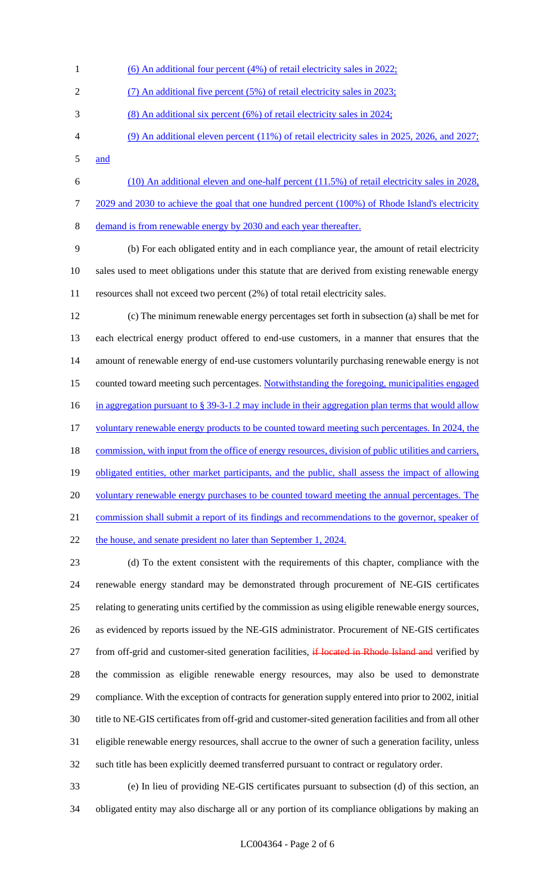- (6) An additional four percent (4%) of retail electricity sales in 2022; (7) An additional five percent (5%) of retail electricity sales in 2023; (8) An additional six percent (6%) of retail electricity sales in 2024; (9) An additional eleven percent (11%) of retail electricity sales in 2025, 2026, and 2027; and
- (10) An additional eleven and one-half percent (11.5%) of retail electricity sales in 2028, 7 2029 and 2030 to achieve the goal that one hundred percent (100%) of Rhode Island's electricity

demand is from renewable energy by 2030 and each year thereafter.

 (b) For each obligated entity and in each compliance year, the amount of retail electricity sales used to meet obligations under this statute that are derived from existing renewable energy resources shall not exceed two percent (2%) of total retail electricity sales.

 (c) The minimum renewable energy percentages set forth in subsection (a) shall be met for each electrical energy product offered to end-use customers, in a manner that ensures that the amount of renewable energy of end-use customers voluntarily purchasing renewable energy is not counted toward meeting such percentages. Notwithstanding the foregoing, municipalities engaged 16 in aggregation pursuant to § 39-3-1.2 may include in their aggregation plan terms that would allow 17 voluntary renewable energy products to be counted toward meeting such percentages. In 2024, the 18 commission, with input from the office of energy resources, division of public utilities and carriers, 19 obligated entities, other market participants, and the public, shall assess the impact of allowing 20 voluntary renewable energy purchases to be counted toward meeting the annual percentages. The commission shall submit a report of its findings and recommendations to the governor, speaker of 22 the house, and senate president no later than September 1, 2024.

 (d) To the extent consistent with the requirements of this chapter, compliance with the renewable energy standard may be demonstrated through procurement of NE-GIS certificates relating to generating units certified by the commission as using eligible renewable energy sources, as evidenced by reports issued by the NE-GIS administrator. Procurement of NE-GIS certificates 27 from off-grid and customer-sited generation facilities, if located in Rhode Island and verified by the commission as eligible renewable energy resources, may also be used to demonstrate compliance. With the exception of contracts for generation supply entered into prior to 2002, initial title to NE-GIS certificates from off-grid and customer-sited generation facilities and from all other eligible renewable energy resources, shall accrue to the owner of such a generation facility, unless such title has been explicitly deemed transferred pursuant to contract or regulatory order.

 (e) In lieu of providing NE-GIS certificates pursuant to subsection (d) of this section, an obligated entity may also discharge all or any portion of its compliance obligations by making an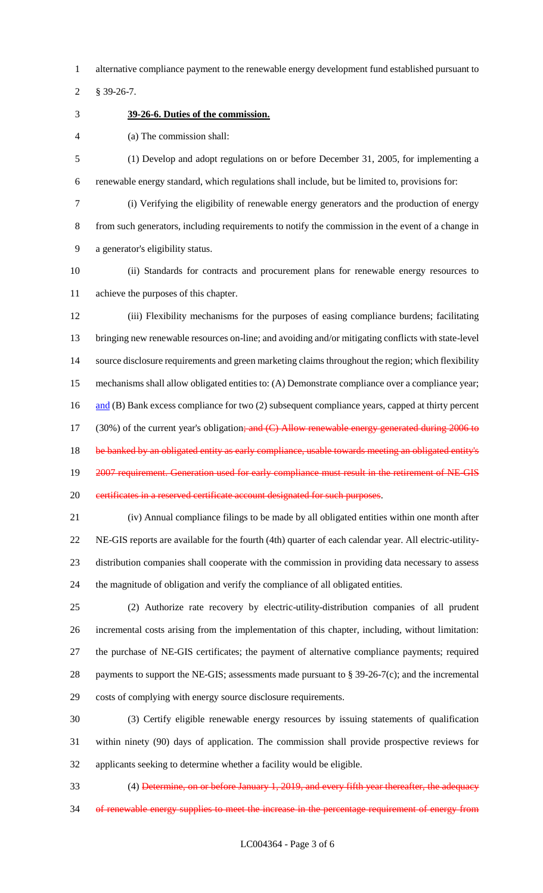alternative compliance payment to the renewable energy development fund established pursuant to

§ 39-26-7.

**39-26-6. Duties of the commission.**

(a) The commission shall:

 (1) Develop and adopt regulations on or before December 31, 2005, for implementing a renewable energy standard, which regulations shall include, but be limited to, provisions for:

 (i) Verifying the eligibility of renewable energy generators and the production of energy from such generators, including requirements to notify the commission in the event of a change in a generator's eligibility status.

 (ii) Standards for contracts and procurement plans for renewable energy resources to achieve the purposes of this chapter.

 (iii) Flexibility mechanisms for the purposes of easing compliance burdens; facilitating bringing new renewable resources on-line; and avoiding and/or mitigating conflicts with state-level source disclosure requirements and green marketing claims throughout the region; which flexibility mechanisms shall allow obligated entities to: (A) Demonstrate compliance over a compliance year; 16 and (B) Bank excess compliance for two (2) subsequent compliance years, capped at thirty percent 17 (30%) of the current year's obligation; and (C) Allow renewable energy generated during 2006 to 18 be banked by an obligated entity as early compliance, usable towards meeting an obligated entity's 19 2007 requirement. Generation used for early compliance must result in the retirement of NE-GIS 20 certificates in a reserved certificate account designated for such purposes.

 (iv) Annual compliance filings to be made by all obligated entities within one month after NE-GIS reports are available for the fourth (4th) quarter of each calendar year. All electric-utility- distribution companies shall cooperate with the commission in providing data necessary to assess the magnitude of obligation and verify the compliance of all obligated entities.

 (2) Authorize rate recovery by electric-utility-distribution companies of all prudent incremental costs arising from the implementation of this chapter, including, without limitation: the purchase of NE-GIS certificates; the payment of alternative compliance payments; required 28 payments to support the NE-GIS; assessments made pursuant to § 39-26-7(c); and the incremental costs of complying with energy source disclosure requirements.

 (3) Certify eligible renewable energy resources by issuing statements of qualification within ninety (90) days of application. The commission shall provide prospective reviews for applicants seeking to determine whether a facility would be eligible.

 (4) Determine, on or before January 1, 2019, and every fifth year thereafter, the adequacy 34 of renewable energy supplies to meet the increase in the percentage requirement of energy from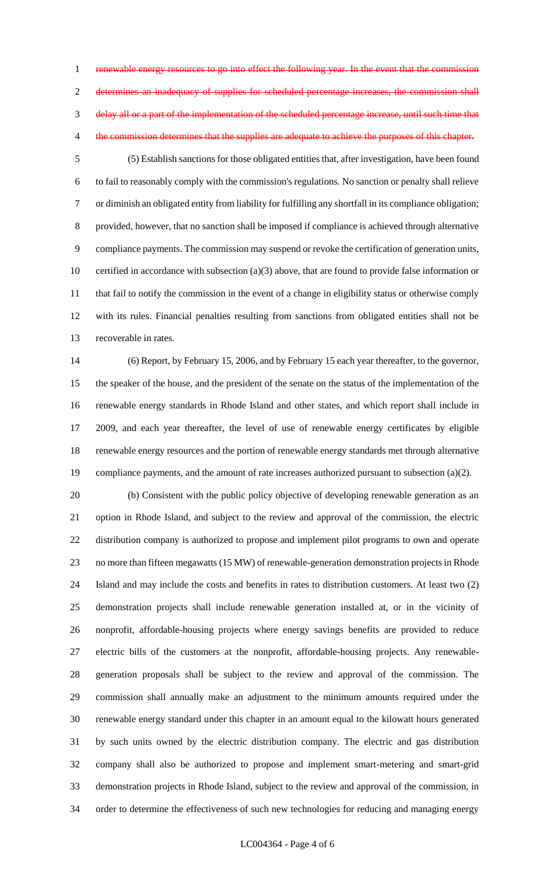1 renewable energy resources to go into effect the following year. In the event that the commission determines an inadequacy of supplies for scheduled percentage increases, the commission shall delay all or a part of the implementation of the scheduled percentage increase, until such time that 4 the commission determines that the supplies are adequate to achieve the purposes of this chapter.

 (5) Establish sanctions for those obligated entities that, after investigation, have been found to fail to reasonably comply with the commission's regulations. No sanction or penalty shall relieve or diminish an obligated entity from liability for fulfilling any shortfall in its compliance obligation; provided, however, that no sanction shall be imposed if compliance is achieved through alternative compliance payments. The commission may suspend or revoke the certification of generation units, certified in accordance with subsection (a)(3) above, that are found to provide false information or 11 that fail to notify the commission in the event of a change in eligibility status or otherwise comply with its rules. Financial penalties resulting from sanctions from obligated entities shall not be recoverable in rates.

 (6) Report, by February 15, 2006, and by February 15 each year thereafter, to the governor, the speaker of the house, and the president of the senate on the status of the implementation of the renewable energy standards in Rhode Island and other states, and which report shall include in 2009, and each year thereafter, the level of use of renewable energy certificates by eligible renewable energy resources and the portion of renewable energy standards met through alternative 19 compliance payments, and the amount of rate increases authorized pursuant to subsection (a)(2).

 (b) Consistent with the public policy objective of developing renewable generation as an option in Rhode Island, and subject to the review and approval of the commission, the electric distribution company is authorized to propose and implement pilot programs to own and operate no more than fifteen megawatts (15 MW) of renewable-generation demonstration projects in Rhode Island and may include the costs and benefits in rates to distribution customers. At least two (2) demonstration projects shall include renewable generation installed at, or in the vicinity of nonprofit, affordable-housing projects where energy savings benefits are provided to reduce electric bills of the customers at the nonprofit, affordable-housing projects. Any renewable- generation proposals shall be subject to the review and approval of the commission. The commission shall annually make an adjustment to the minimum amounts required under the renewable energy standard under this chapter in an amount equal to the kilowatt hours generated by such units owned by the electric distribution company. The electric and gas distribution company shall also be authorized to propose and implement smart-metering and smart-grid demonstration projects in Rhode Island, subject to the review and approval of the commission, in order to determine the effectiveness of such new technologies for reducing and managing energy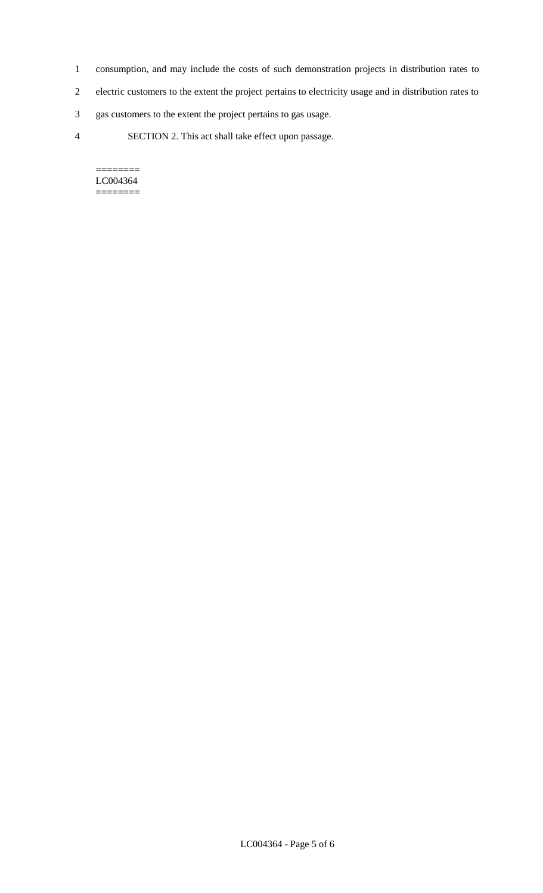- 1 consumption, and may include the costs of such demonstration projects in distribution rates to
- 2 electric customers to the extent the project pertains to electricity usage and in distribution rates to
- 3 gas customers to the extent the project pertains to gas usage.
- 4 SECTION 2. This act shall take effect upon passage.

======== LC004364 ========